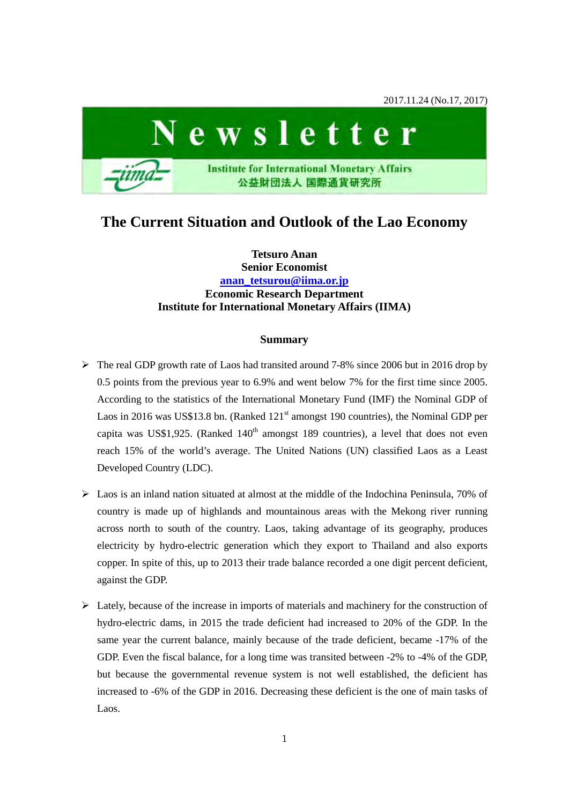

# **The Current Situation and Outlook of the Lao Economy**

**Tetsuro Anan Senior Economist [anan\\_tetsurou@iima.or.jp](mailto:anan_tetsurou@iima.or.jp) Economic Research Department Institute for International Monetary Affairs (IIMA)**

# **Summary**

- The real GDP growth rate of Laos had transited around 7-8% since 2006 but in 2016 drop by 0.5 points from the previous year to 6.9% and went below 7% for the first time since 2005. According to the statistics of the International Monetary Fund (IMF) the Nominal GDP of Laos in 2016 was US\$13.8 bn. (Ranked  $121<sup>st</sup>$  amongst 190 countries), the Nominal GDP per capita was US\$1,925. (Ranked  $140<sup>th</sup>$  amongst 189 countries), a level that does not even reach 15% of the world's average. The United Nations (UN) classified Laos as a Least Developed Country (LDC).
- $\triangleright$  Laos is an inland nation situated at almost at the middle of the Indochina Peninsula, 70% of country is made up of highlands and mountainous areas with the Mekong river running across north to south of the country. Laos, taking advantage of its geography, produces electricity by hydro-electric generation which they export to Thailand and also exports copper. In spite of this, up to 2013 their trade balance recorded a one digit percent deficient, against the GDP.
- $\triangleright$  Lately, because of the increase in imports of materials and machinery for the construction of hydro-electric dams, in 2015 the trade deficient had increased to 20% of the GDP. In the same year the current balance, mainly because of the trade deficient, became -17% of the GDP. Even the fiscal balance, for a long time was transited between -2% to -4% of the GDP, but because the governmental revenue system is not well established, the deficient has increased to -6% of the GDP in 2016. Decreasing these deficient is the one of main tasks of Laos.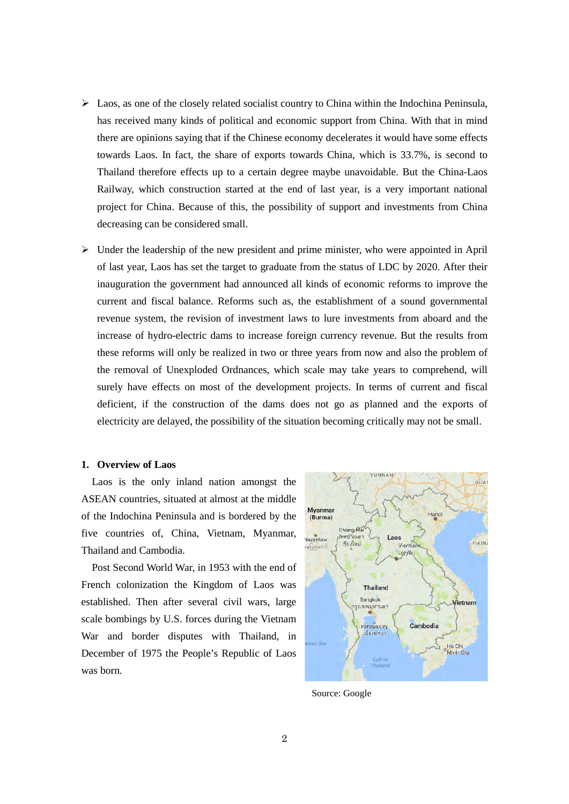- $\triangleright$  Laos, as one of the closely related socialist country to China within the Indochina Peninsula, has received many kinds of political and economic support from China. With that in mind there are opinions saying that if the Chinese economy decelerates it would have some effects towards Laos. In fact, the share of exports towards China, which is 33.7%, is second to Thailand therefore effects up to a certain degree maybe unavoidable. But the China-Laos Railway, which construction started at the end of last year, is a very important national project for China. Because of this, the possibility of support and investments from China decreasing can be considered small.
- $\triangleright$  Under the leadership of the new president and prime minister, who were appointed in April of last year, Laos has set the target to graduate from the status of LDC by 2020. After their inauguration the government had announced all kinds of economic reforms to improve the current and fiscal balance. Reforms such as, the establishment of a sound governmental revenue system, the revision of investment laws to lure investments from aboard and the increase of hydro-electric dams to increase foreign currency revenue. But the results from these reforms will only be realized in two or three years from now and also the problem of the removal of Unexploded Ordnances, which scale may take years to comprehend, will surely have effects on most of the development projects. In terms of current and fiscal deficient, if the construction of the dams does not go as planned and the exports of electricity are delayed, the possibility of the situation becoming critically may not be small.

## **1. Overview of Laos**

Laos is the only inland nation amongst the ASEAN countries, situated at almost at the middle of the Indochina Peninsula and is bordered by the five countries of, China, Vietnam, Myanmar, Thailand and Cambodia.

Post Second World War, in 1953 with the end of French colonization the Kingdom of Laos was established. Then after several civil wars, large scale bombings by U.S. forces during the Vietnam War and border disputes with Thailand, in December of 1975 the People's Republic of Laos was born.



Source: Google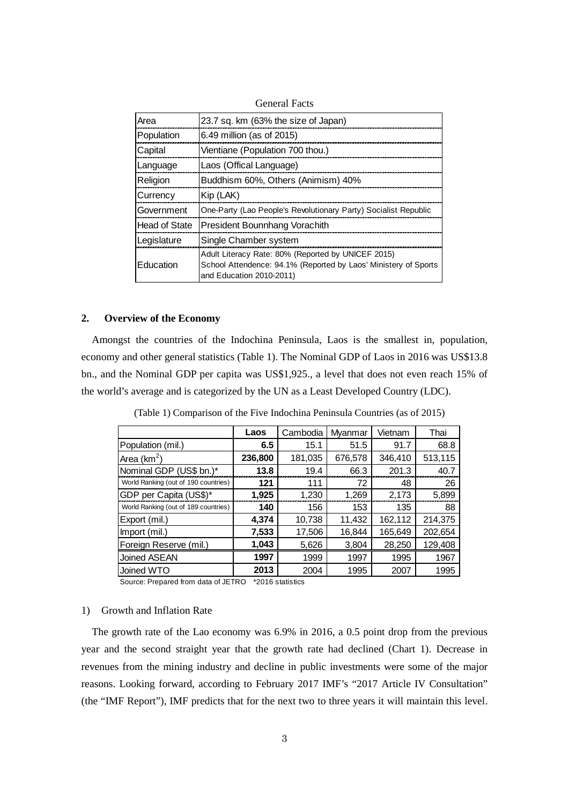| Area                 | 23.7 sq. km (63% the size of Japan)                                                                                                               |
|----------------------|---------------------------------------------------------------------------------------------------------------------------------------------------|
| Population           | 6.49 million (as of 2015)                                                                                                                         |
| Capital              | Vientiane (Population 700 thou.)                                                                                                                  |
| Language             | Laos (Offical Language)                                                                                                                           |
| Religion             | Buddhism 60%, Others (Animism) 40%                                                                                                                |
| Currency             | Kip (LAK)                                                                                                                                         |
| Government           | One-Party (Lao People's Revolutionary Party) Socialist Republic                                                                                   |
| <b>Head of State</b> | President Bounnhang Vorachith                                                                                                                     |
| Legislature          | Single Chamber system                                                                                                                             |
| Education            | Adult Literacy Rate: 80% (Reported by UNICEF 2015)<br>School Attendence: 94.1% (Reported by Laos' Ministery of Sports<br>and Education 2010-2011) |

General Facts

## **2. Overview of the Economy**

Amongst the countries of the Indochina Peninsula, Laos is the smallest in, population, economy and other general statistics (Table 1). The Nominal GDP of Laos in 2016 was US\$13.8 bn., and the Nominal GDP per capita was US\$1,925., a level that does not even reach 15% of the world's average and is categorized by the UN as a Least Developed Country (LDC).

|                                      | Laos    | Cambodia | Myanmar | Vietnam | Thai    |
|--------------------------------------|---------|----------|---------|---------|---------|
| Population (mil.)                    | 6.5     | 15.1     | 51.5    | 91.7    | 68.8    |
| Area (km <sup>2</sup> )              | 236,800 | 181,035  | 676,578 | 346,410 | 513,115 |
| Nominal GDP (US\$ bn.)*              | 13.8    | 19.4     | 66.3    | 201.3   | 40.7    |
| World Ranking (out of 190 countries) | 121     | 111      | 72      | 48      | 26      |
| GDP per Capita (US\$)*               | 1,925   | 1,230    | 1,269   | 2,173   | 5,899   |
| World Ranking (out of 189 countries) | 140     | 156      | 153     | 135     | 88      |
| Export (mil.)                        | 4,374   | 10,738   | 11,432  | 162,112 | 214,375 |
| Import (mil.)                        | 7,533   | 17,506   | 16,844  | 165,649 | 202,654 |
| Foreign Reserve (mil.)               | 1,043   | 5,626    | 3,804   | 28,250  | 129,408 |
| <b>Joined ASEAN</b>                  | 1997    | 1999     | 1997    | 1995    | 1967    |
| Joined WTO                           | 2013    | 2004     | 1995    | 2007    | 1995    |

(Table 1) Comparison of the Five Indochina Peninsula Countries (as of 2015)

Source: Prepared from data of JETRO \*2016 statistics

# 1) Growth and Inflation Rate

The growth rate of the Lao economy was 6.9% in 2016, a 0.5 point drop from the previous year and the second straight year that the growth rate had declined (Chart 1). Decrease in revenues from the mining industry and decline in public investments were some of the major reasons. Looking forward, according to February 2017 IMF's "2017 Article IV Consultation" (the "IMF Report"), IMF predicts that for the next two to three years it will maintain this level.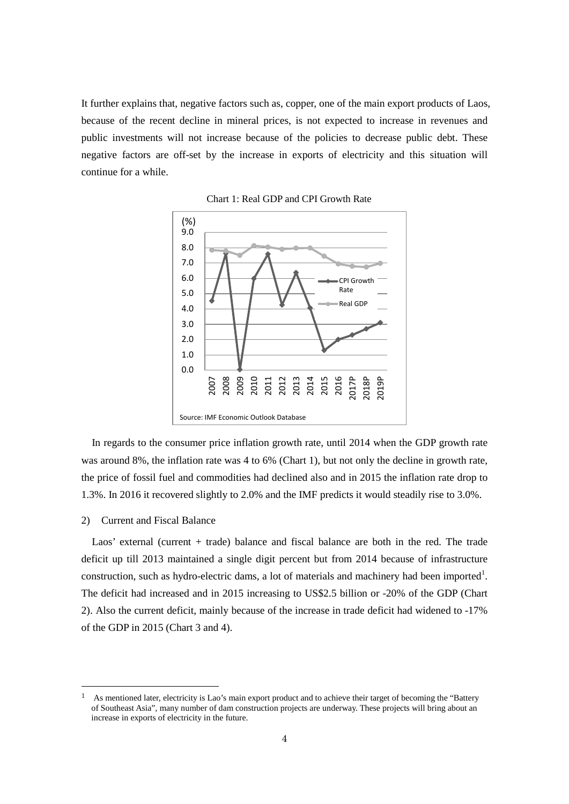It further explains that, negative factors such as, copper, one of the main export products of Laos, because of the recent decline in mineral prices, is not expected to increase in revenues and public investments will not increase because of the policies to decrease public debt. These negative factors are off-set by the increase in exports of electricity and this situation will continue for a while.



Chart 1: Real GDP and CPI Growth Rate

In regards to the consumer price inflation growth rate, until 2014 when the GDP growth rate was around 8%, the inflation rate was 4 to 6% (Chart 1), but not only the decline in growth rate, the price of fossil fuel and commodities had declined also and in 2015 the inflation rate drop to 1.3%. In 2016 it recovered slightly to 2.0% and the IMF predicts it would steadily rise to 3.0%.

# 2) Current and Fiscal Balance

1

Laos' external (current + trade) balance and fiscal balance are both in the red. The trade deficit up till 2013 maintained a single digit percent but from 2014 because of infrastructure construction, such as hydro-electric dams, a lot of materials and machinery had been imported<sup>[1](#page-3-0)</sup>. The deficit had increased and in 2015 increasing to US\$2.5 billion or -20% of the GDP (Chart 2). Also the current deficit, mainly because of the increase in trade deficit had widened to -17% of the GDP in 2015 (Chart 3 and 4).

<span id="page-3-0"></span><sup>1</sup> As mentioned later, electricity is Lao's main export product and to achieve their target of becoming the "Battery of Southeast Asia", many number of dam construction projects are underway. These projects will bring about an increase in exports of electricity in the future.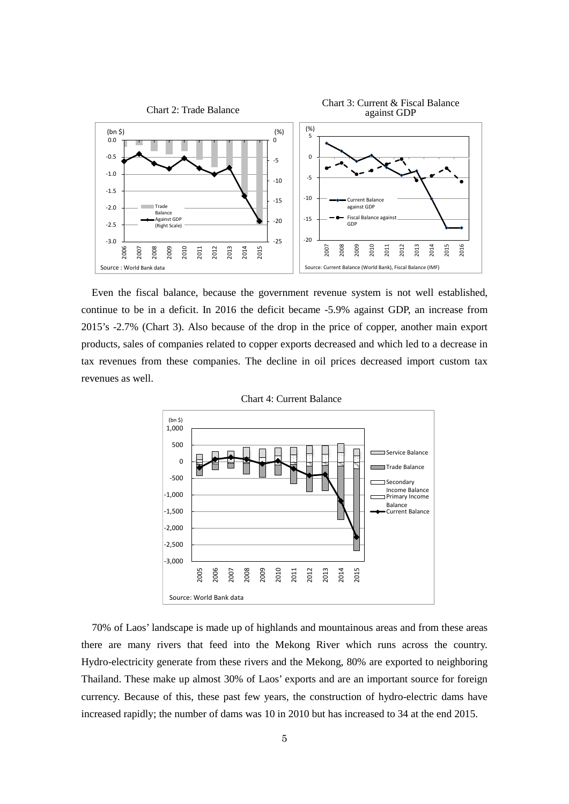

Even the fiscal balance, because the government revenue system is not well established, continue to be in a deficit. In 2016 the deficit became -5.9% against GDP, an increase from 2015's -2.7% (Chart 3). Also because of the drop in the price of copper, another main export products, sales of companies related to copper exports decreased and which led to a decrease in tax revenues from these companies. The decline in oil prices decreased import custom tax revenues as well.



Chart 4: Current Balance

70% of Laos' landscape is made up of highlands and mountainous areas and from these areas there are many rivers that feed into the Mekong River which runs across the country. Hydro-electricity generate from these rivers and the Mekong, 80% are exported to neighboring Thailand. These make up almost 30% of Laos' exports and are an important source for foreign currency. Because of this, these past few years, the construction of hydro-electric dams have increased rapidly; the number of dams was 10 in 2010 but has increased to 34 at the end 2015.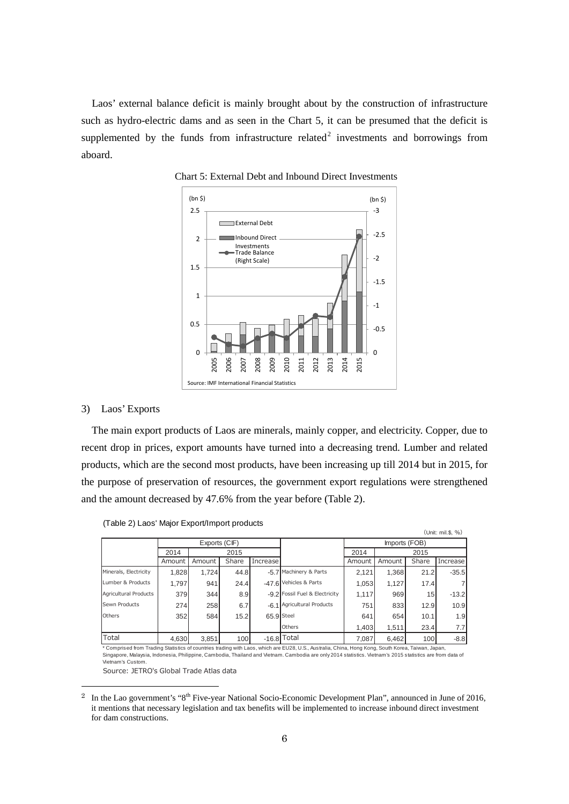Laos' external balance deficit is mainly brought about by the construction of infrastructure such as hydro-electric dams and as seen in the Chart 5, it can be presumed that the deficit is supplemented by the funds from infrastructure related<sup>[2](#page-5-0)</sup> investments and borrowings from aboard.



Chart 5: External Debt and Inbound Direct Investments

#### 3) Laos' Exports

The main export products of Laos are minerals, mainly copper, and electricity. Copper, due to recent drop in prices, export amounts have turned into a decreasing trend. Lumber and related products, which are the second most products, have been increasing up till 2014 but in 2015, for the purpose of preservation of resources, the government export regulations were strengthened and the amount decreased by 47.6% from the year before (Table 2).

| $\mathbf{z}$          |        | . .    |       |            |                                |        |              |                 | (Unit: mil. \$, %) |
|-----------------------|--------|--------|-------|------------|--------------------------------|--------|--------------|-----------------|--------------------|
| Exports (CIF)         |        |        |       |            | Imports (FOB)                  |        |              |                 |                    |
|                       | 2014   | 2015   |       |            |                                |        | 2015<br>2014 |                 |                    |
|                       | Amount | Amount | Share | Increase   |                                | Amount | Amount       | Share           | Increase           |
| Minerals, Electricity | 1,828  | 1,724  | 44.8  |            | -5.7 Machinery & Parts         | 2,121  | 1,368        | 21.2            | $-35.5$            |
| Lumber & Products     | 1,797  | 941    | 24.4  |            | -47.6 Vehicles & Parts         | 1,053  | 1,127        | 17.4            | 7                  |
| Agricultural Products | 379    | 344    | 8.9   |            | -9.2 Fossil Fuel & Electricity | 1.117  | 969          | 15 <sup>1</sup> | $-13.2$            |
| Sewn Products         | 274    | 258    | 6.7   |            | -6.1 Agricultural Products     | 751    | 833          | 12.9            | 10.9               |
| Others                | 352    | 584    | 15.2  | 65.9 Steel |                                | 641    | 654          | 10.1            | 1.9                |
|                       |        |        |       |            | Others                         | 1,403  | 1,511        | 23.4            | 7.7 <sub>l</sub>   |
| Total                 | 4,630  | 3,851  | 100   |            | $-16.8$ Total                  | 7,087  | 6,462        | 100             | $-8.8$             |

(Table 2) Laos' Major Export/Import products

\* Comprised from Trading Statistics of countries trading with Laos, which are EU28, U.S., Australia, China, Hong Kong, South Korea, Taiwan, Japan,<br>Singapore, Malaysia, Indonesia, Philippine, Cambodia, Thailand and Vietnam. Vietnam's Custom.

Source: JETRO's Global Trade Atlas data

1

<span id="page-5-0"></span><sup>&</sup>lt;sup>2</sup> In the Lao government's "8<sup>th</sup> Five-year National Socio-Economic Development Plan", announced in June of 2016, it mentions that necessary legislation and tax benefits will be implemented to increase inbound direct investment for dam constructions.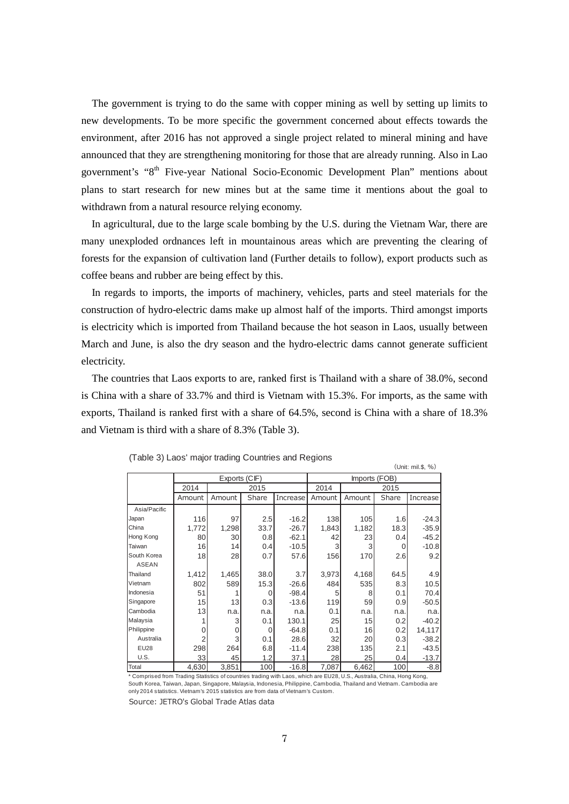The government is trying to do the same with copper mining as well by setting up limits to new developments. To be more specific the government concerned about effects towards the environment, after 2016 has not approved a single project related to mineral mining and have announced that they are strengthening monitoring for those that are already running. Also in Lao government's "8<sup>th</sup> Five-year National Socio-Economic Development Plan" mentions about plans to start research for new mines but at the same time it mentions about the goal to withdrawn from a natural resource relying economy.

In agricultural, due to the large scale bombing by the U.S. during the Vietnam War, there are many unexploded ordnances left in mountainous areas which are preventing the clearing of forests for the expansion of cultivation land (Further details to follow), export products such as coffee beans and rubber are being effect by this.

In regards to imports, the imports of machinery, vehicles, parts and steel materials for the construction of hydro-electric dams make up almost half of the imports. Third amongst imports is electricity which is imported from Thailand because the hot season in Laos, usually between March and June, is also the dry season and the hydro-electric dams cannot generate sufficient electricity.

The countries that Laos exports to are, ranked first is Thailand with a share of 38.0%, second is China with a share of 33.7% and third is Vietnam with 15.3%. For imports, as the same with exports, Thailand is ranked first with a share of 64.5%, second is China with a share of 18.3% and Vietnam is third with a share of 8.3% (Table 3).

 $(1 \text{Init: } m \text{ if } 0.$ 

| $\sqrt{O(10L + 110L + 9)}$ , 707 |                |               |       |              |               |        |       |          |
|----------------------------------|----------------|---------------|-------|--------------|---------------|--------|-------|----------|
|                                  |                | Exports (CIF) |       |              | Imports (FOB) |        |       |          |
|                                  | 2014<br>2015   |               |       | 2014<br>2015 |               |        |       |          |
|                                  | Amount         | Amount        | Share | Increase     | Amount        | Amount | Share | Increase |
| Asia/Pacific                     |                |               |       |              |               |        |       |          |
| Japan                            | 116            | 97            | 2.5   | $-16.2$      | 138           | 105    | 1.6   | $-24.3$  |
| China                            | 1,772          | 1,298         | 33.7  | $-26.7$      | 1,843         | 1,182  | 18.3  | $-35.9$  |
| Hong Kong                        | 80             | 30            | 0.8   | $-62.1$      | 42            | 23     | 0.4   | $-45.2$  |
| Taiwan                           | 16             | 14            | 0.4   | $-10.5$      | 3             | 3      | 0     | $-10.8$  |
| South Korea                      | 18             | 28            | 0.7   | 57.6         | 156           | 170    | 2.6   | 9.2      |
| <b>ASEAN</b>                     |                |               |       |              |               |        |       |          |
| Thailand                         | 1,412          | 1,465         | 38.0  | 3.7          | 3,973         | 4,168  | 64.5  | 4.9      |
| Vietnam                          | 802            | 589           | 15.3  | $-26.6$      | 484           | 535    | 8.3   | 10.5     |
| Indonesia                        | 51             |               | 0     | $-98.4$      | 5             | 8      | 0.1   | 70.4     |
| Singapore                        | 15             | 13            | 0.3   | $-13.6$      | 119           | 59     | 0.9   | $-50.5$  |
| Cambodia                         | 13             | n.a.          | n.a.  | n.a.         | 0.1           | n.a.   | n.a.  | n.a.     |
| Malaysia                         |                | 3             | 0.1   | 130.1        | 25            | 15     | 0.2   | $-40.2$  |
| Philippine                       | 0              | 0             | 0     | $-64.8$      | 0.1           | 16     | 0.2   | 14,117   |
| Australia                        | $\overline{2}$ | 3             | 0.1   | 28.6         | 32            | 20     | 0.3   | $-38.2$  |
| <b>EU28</b>                      | 298            | 264           | 6.8   | $-11.4$      | 238           | 135    | 2.1   | $-43.5$  |
| U.S.                             | 33             | 45            | 1.2   | 37.1         | 28            | 25     | 0.4   | $-13.7$  |
| Total                            | 4,630          | 3,851         | 100   | $-16.8$      | 7,087         | 6,462  | 100   | $-8.8$   |

(Table 3) Laos' major trading Countries and Regions

\* Comprised from Trading Statistics of countries trading with Laos, which are EU28, U.S., Australia, China, Hong Kong, South Korea, Taiwan, Japan, Singapore, Malaysia, Indonesia, Philippine, Cambodia, Thailand and Vietnam. Cambodia are only 2014 statistics. Vietnam's 2015 statistics are from data of Vietnam's Custom.

Source: JETRO's Global Trade Atlas data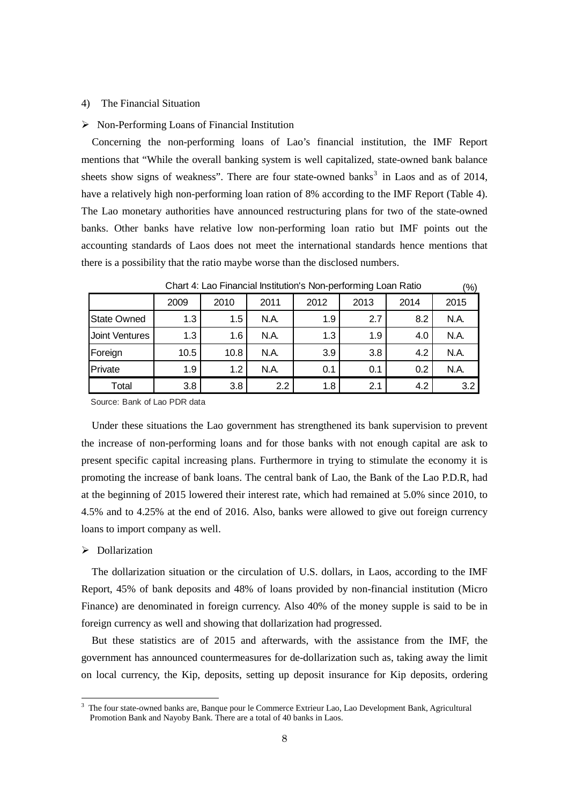## 4) The Financial Situation

#### $\triangleright$  Non-Performing Loans of Financial Institution

Concerning the non-performing loans of Lao's financial institution, the IMF Report mentions that "While the overall banking system is well capitalized, state-owned bank balance sheets show signs of weakness". There are four state-owned banks<sup>[3](#page-7-0)</sup> in Laos and as of 2014, have a relatively high non-performing loan ration of 8% according to the IMF Report (Table 4). The Lao monetary authorities have announced restructuring plans for two of the state-owned banks. Other banks have relative low non-performing loan ratio but IMF points out the accounting standards of Laos does not meet the international standards hence mentions that there is a possibility that the ratio maybe worse than the disclosed numbers.

|                    | 2009 | 2010 | 2011             | 2012 | 2013 | 2014 | 2015 |  |
|--------------------|------|------|------------------|------|------|------|------|--|
| <b>State Owned</b> | 1.3  | 1.5  | N.A.             | 1.9  | 2.7  | 8.2  | N.A. |  |
| Joint Ventures     | 1.3  | 1.6  | N.A.             | 1.3  | 1.9  | 4.0  | N.A. |  |
| Foreign            | 10.5 | 10.8 | N.A.             | 3.9  | 3.8  | 4.2  | N.A. |  |
| Private            | 1.9  | 1.2  | N.A.             | 0.1  | 0.1  | 0.2  | N.A. |  |
| Total              | 3.8  | 3.8  | $2.2\phantom{0}$ | 1.8  | 2.1  | 4.2  | 3.2  |  |

Chart 4: Lao Financial Institution's Non-performing Loan Ratio

 $(0/3)$ 

Source: Bank of Lao PDR data

Under these situations the Lao government has strengthened its bank supervision to prevent the increase of non-performing loans and for those banks with not enough capital are ask to present specific capital increasing plans. Furthermore in trying to stimulate the economy it is promoting the increase of bank loans. The central bank of Lao, the Bank of the Lao P.D.R, had at the beginning of 2015 lowered their interest rate, which had remained at 5.0% since 2010, to 4.5% and to 4.25% at the end of 2016. Also, banks were allowed to give out foreign currency loans to import company as well.

# > Dollarization

1

The dollarization situation or the circulation of U.S. dollars, in Laos, according to the IMF Report, 45% of bank deposits and 48% of loans provided by non-financial institution (Micro Finance) are denominated in foreign currency. Also 40% of the money supple is said to be in foreign currency as well and showing that dollarization had progressed.

But these statistics are of 2015 and afterwards, with the assistance from the IMF, the government has announced countermeasures for de-dollarization such as, taking away the limit on local currency, the Kip, deposits, setting up deposit insurance for Kip deposits, ordering

<span id="page-7-0"></span><sup>3</sup> The four state-owned banks are, Banque pour le Commerce Extrieur Lao, Lao Development Bank, Agricultural Promotion Bank and Nayoby Bank. There are a total of 40 banks in Laos.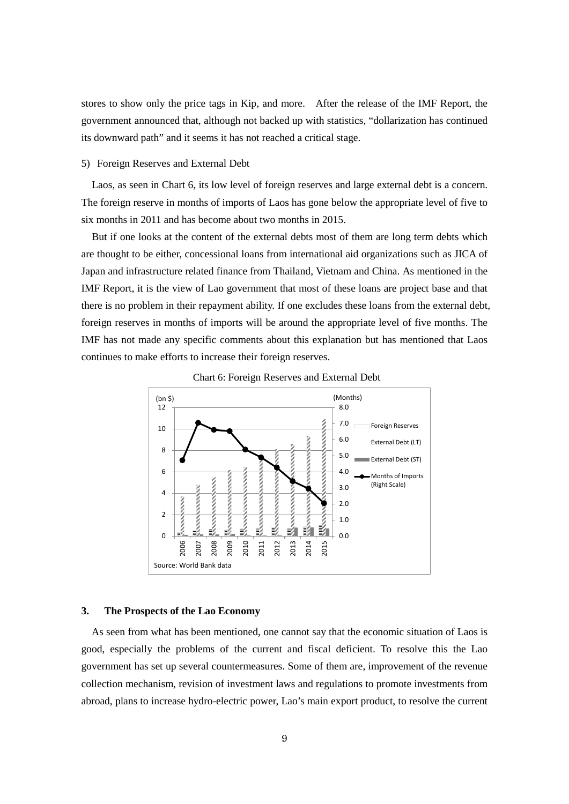stores to show only the price tags in Kip, and more. After the release of the IMF Report, the government announced that, although not backed up with statistics, "dollarization has continued its downward path" and it seems it has not reached a critical stage.

#### 5) Foreign Reserves and External Debt

Laos, as seen in Chart 6, its low level of foreign reserves and large external debt is a concern. The foreign reserve in months of imports of Laos has gone below the appropriate level of five to six months in 2011 and has become about two months in 2015.

But if one looks at the content of the external debts most of them are long term debts which are thought to be either, concessional loans from international aid organizations such as JICA of Japan and infrastructure related finance from Thailand, Vietnam and China. As mentioned in the IMF Report, it is the view of Lao government that most of these loans are project base and that there is no problem in their repayment ability. If one excludes these loans from the external debt, foreign reserves in months of imports will be around the appropriate level of five months. The IMF has not made any specific comments about this explanation but has mentioned that Laos continues to make efforts to increase their foreign reserves.





## **3. The Prospects of the Lao Economy**

As seen from what has been mentioned, one cannot say that the economic situation of Laos is good, especially the problems of the current and fiscal deficient. To resolve this the Lao government has set up several countermeasures. Some of them are, improvement of the revenue collection mechanism, revision of investment laws and regulations to promote investments from abroad, plans to increase hydro-electric power, Lao's main export product, to resolve the current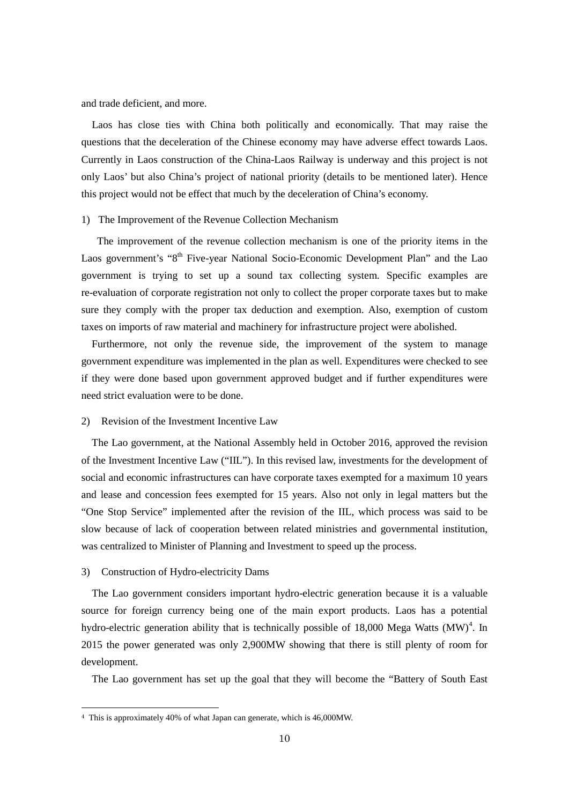and trade deficient, and more.

Laos has close ties with China both politically and economically. That may raise the questions that the deceleration of the Chinese economy may have adverse effect towards Laos. Currently in Laos construction of the China-Laos Railway is underway and this project is not only Laos' but also China's project of national priority (details to be mentioned later). Hence this project would not be effect that much by the deceleration of China's economy.

## 1) The Improvement of the Revenue Collection Mechanism

The improvement of the revenue collection mechanism is one of the priority items in the Laos government's "8<sup>th</sup> Five-year National Socio-Economic Development Plan" and the Lao government is trying to set up a sound tax collecting system. Specific examples are re-evaluation of corporate registration not only to collect the proper corporate taxes but to make sure they comply with the proper tax deduction and exemption. Also, exemption of custom taxes on imports of raw material and machinery for infrastructure project were abolished.

Furthermore, not only the revenue side, the improvement of the system to manage government expenditure was implemented in the plan as well. Expenditures were checked to see if they were done based upon government approved budget and if further expenditures were need strict evaluation were to be done.

## 2) Revision of the Investment Incentive Law

The Lao government, at the National Assembly held in October 2016, approved the revision of the Investment Incentive Law ("IIL"). In this revised law, investments for the development of social and economic infrastructures can have corporate taxes exempted for a maximum 10 years and lease and concession fees exempted for 15 years. Also not only in legal matters but the "One Stop Service" implemented after the revision of the IIL, which process was said to be slow because of lack of cooperation between related ministries and governmental institution, was centralized to Minister of Planning and Investment to speed up the process.

## 3) Construction of Hydro-electricity Dams

1

The Lao government considers important hydro-electric generation because it is a valuable source for foreign currency being one of the main export products. Laos has a potential hydro-electric generation ability that is technically possible of 18,000 Mega Watts  $(MW)^4$  $(MW)^4$ . In 2015 the power generated was only 2,900MW showing that there is still plenty of room for development.

The Lao government has set up the goal that they will become the "Battery of South East

<span id="page-9-0"></span><sup>4</sup> This is approximately 40% of what Japan can generate, which is 46,000MW.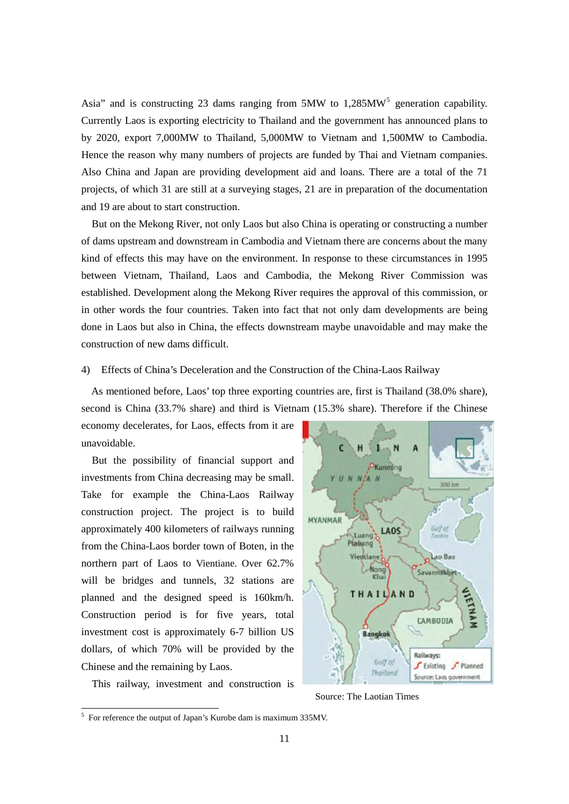Asia" and is constructing 23 dams ranging from  $5MW$  $5MW$  to 1,285M $W<sup>5</sup>$  generation capability. Currently Laos is exporting electricity to Thailand and the government has announced plans to by 2020, export 7,000MW to Thailand, 5,000MW to Vietnam and 1,500MW to Cambodia. Hence the reason why many numbers of projects are funded by Thai and Vietnam companies. Also China and Japan are providing development aid and loans. There are a total of the 71 projects, of which 31 are still at a surveying stages, 21 are in preparation of the documentation and 19 are about to start construction.

But on the Mekong River, not only Laos but also China is operating or constructing a number of dams upstream and downstream in Cambodia and Vietnam there are concerns about the many kind of effects this may have on the environment. In response to these circumstances in 1995 between Vietnam, Thailand, Laos and Cambodia, the Mekong River Commission was established. Development along the Mekong River requires the approval of this commission, or in other words the four countries. Taken into fact that not only dam developments are being done in Laos but also in China, the effects downstream maybe unavoidable and may make the construction of new dams difficult.

# 4) Effects of China's Deceleration and the Construction of the China-Laos Railway

As mentioned before, Laos' top three exporting countries are, first is Thailand (38.0% share), second is China (33.7% share) and third is Vietnam (15.3% share). Therefore if the Chinese

economy decelerates, for Laos, effects from it are unavoidable.

But the possibility of financial support and investments from China decreasing may be small. Take for example the China-Laos Railway construction project. The project is to build approximately 400 kilometers of railways running from the China-Laos border town of Boten, in the northern part of Laos to Vientiane. Over 62.7% will be bridges and tunnels, 32 stations are planned and the designed speed is 160km/h. Construction period is for five years, total investment cost is approximately 6-7 billion US dollars, of which 70% will be provided by the Chinese and the remaining by Laos.



1



Source: The Laotian Times

<span id="page-10-0"></span><sup>&</sup>lt;sup>5</sup> For reference the output of Japan's Kurobe dam is maximum 335MV.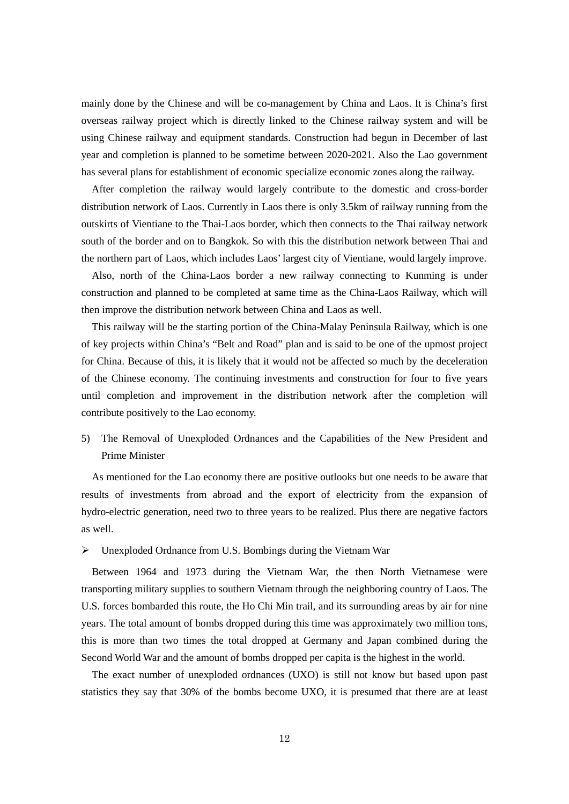mainly done by the Chinese and will be co-management by China and Laos. It is China's first overseas railway project which is directly linked to the Chinese railway system and will be using Chinese railway and equipment standards. Construction had begun in December of last year and completion is planned to be sometime between 2020-2021. Also the Lao government has several plans for establishment of economic specialize economic zones along the railway.

After completion the railway would largely contribute to the domestic and cross-border distribution network of Laos. Currently in Laos there is only 3.5km of railway running from the outskirts of Vientiane to the Thai-Laos border, which then connects to the Thai railway network south of the border and on to Bangkok. So with this the distribution network between Thai and the northern part of Laos, which includes Laos' largest city of Vientiane, would largely improve.

Also, north of the China-Laos border a new railway connecting to Kunming is under construction and planned to be completed at same time as the China-Laos Railway, which will then improve the distribution network between China and Laos as well.

This railway will be the starting portion of the China-Malay Peninsula Railway, which is one of key projects within China's "Belt and Road" plan and is said to be one of the upmost project for China. Because of this, it is likely that it would not be affected so much by the deceleration of the Chinese economy. The continuing investments and construction for four to five years until completion and improvement in the distribution network after the completion will contribute positively to the Lao economy.

5) The Removal of Unexploded Ordnances and the Capabilities of the New President and Prime Minister

As mentioned for the Lao economy there are positive outlooks but one needs to be aware that results of investments from abroad and the export of electricity from the expansion of hydro-electric generation, need two to three years to be realized. Plus there are negative factors as well.

Unexploded Ordnance from U.S. Bombings during the Vietnam War

Between 1964 and 1973 during the Vietnam War, the then North Vietnamese were transporting military supplies to southern Vietnam through the neighboring country of Laos. The U.S. forces bombarded this route, the Ho Chi Min trail, and its surrounding areas by air for nine years. The total amount of bombs dropped during this time was approximately two million tons, this is more than two times the total dropped at Germany and Japan combined during the Second World War and the amount of bombs dropped per capita is the highest in the world.

The exact number of unexploded ordnances (UXO) is still not know but based upon past statistics they say that 30% of the bombs become UXO, it is presumed that there are at least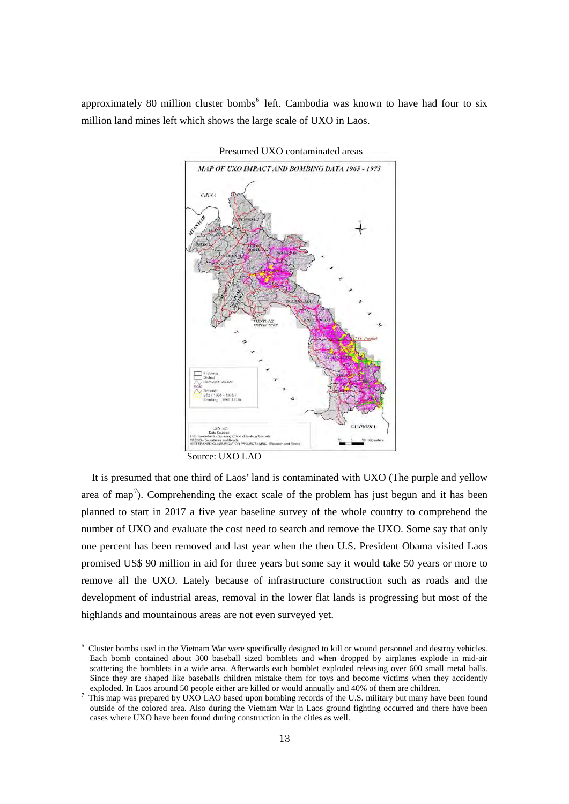approximately 80 million cluster bombs<sup> $6$ </sup> left. Cambodia was known to have had four to six million land mines left which shows the large scale of UXO in Laos.



Presumed UXO contaminated areas

Source: UXO LAO

1

It is presumed that one third of Laos' land is contaminated with UXO (The purple and yellow area of map<sup>[7](#page-12-1)</sup>). Comprehending the exact scale of the problem has just begun and it has been planned to start in 2017 a five year baseline survey of the whole country to comprehend the number of UXO and evaluate the cost need to search and remove the UXO. Some say that only one percent has been removed and last year when the then U.S. President Obama visited Laos promised US\$ 90 million in aid for three years but some say it would take 50 years or more to remove all the UXO. Lately because of infrastructure construction such as roads and the development of industrial areas, removal in the lower flat lands is progressing but most of the highlands and mountainous areas are not even surveyed yet.

<span id="page-12-0"></span> $6$  Cluster bombs used in the Vietnam War were specifically designed to kill or wound personnel and destroy vehicles. Each bomb contained about 300 baseball sized bomblets and when dropped by airplanes explode in mid-air scattering the bomblets in a wide area. Afterwards each bomblet exploded releasing over 600 small metal balls. Since they are shaped like baseballs children mistake them for toys and become victims when they accidently exploded. In Laos around 50 people either are killed or would annually and 40% of them are children.

<span id="page-12-1"></span>This map was prepared by UXO LAO based upon bombing records of the U.S. military but many have been found outside of the colored area. Also during the Vietnam War in Laos ground fighting occurred and there have been cases where UXO have been found during construction in the cities as well.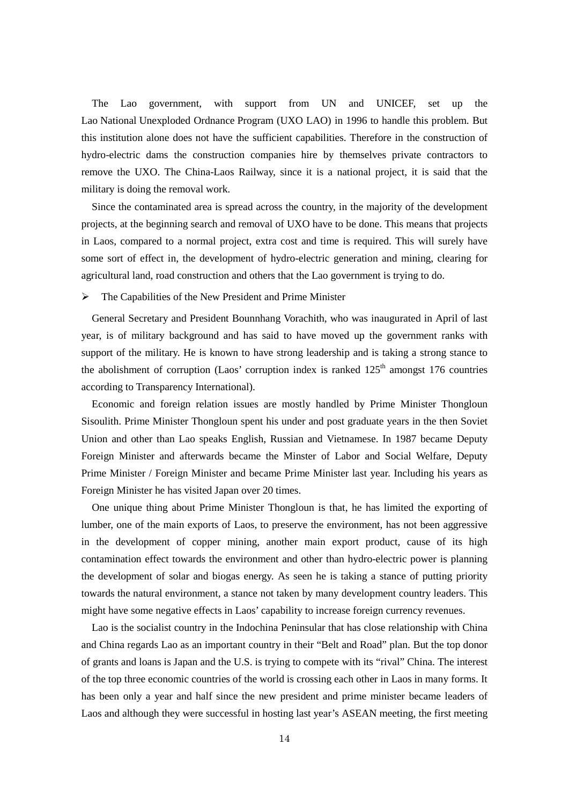The Lao government, with support from UN and UNICEF, set up the Lao National Unexploded Ordnance Program (UXO LAO) in 1996 to handle this problem. But this institution alone does not have the sufficient capabilities. Therefore in the construction of hydro-electric dams the construction companies hire by themselves private contractors to remove the UXO. The China-Laos Railway, since it is a national project, it is said that the military is doing the removal work.

Since the contaminated area is spread across the country, in the majority of the development projects, at the beginning search and removal of UXO have to be done. This means that projects in Laos, compared to a normal project, extra cost and time is required. This will surely have some sort of effect in, the development of hydro-electric generation and mining, clearing for agricultural land, road construction and others that the Lao government is trying to do.

## The Capabilities of the New President and Prime Minister

General Secretary and President Bounnhang Vorachith, who was inaugurated in April of last year, is of military background and has said to have moved up the government ranks with support of the military. He is known to have strong leadership and is taking a strong stance to the abolishment of corruption (Laos' corruption index is ranked  $125<sup>th</sup>$  amongst 176 countries according to Transparency International).

Economic and foreign relation issues are mostly handled by Prime Minister [Thongloun](https://en.wikipedia.org/wiki/Thongloun_Sisoulith)  [Sisoulith.](https://en.wikipedia.org/wiki/Thongloun_Sisoulith) Prime Minister Thongloun spent his under and post graduate years in the then Soviet Union and other than Lao speaks English, Russian and Vietnamese. In 1987 became Deputy Foreign Minister and afterwards became the Minster of Labor and Social Welfare, Deputy Prime Minister / Foreign Minister and became Prime Minister last year. Including his years as Foreign Minister he has visited Japan over 20 times.

One unique thing about Prime Minister Thongloun is that, he has limited the exporting of lumber, one of the main exports of Laos, to preserve the environment, has not been aggressive in the development of copper mining, another main export product, cause of its high contamination effect towards the environment and other than hydro-electric power is planning the development of solar and biogas energy. As seen he is taking a stance of putting priority towards the natural environment, a stance not taken by many development country leaders. This might have some negative effects in Laos' capability to increase foreign currency revenues.

Lao is the socialist country in the Indochina Peninsular that has close relationship with China and China regards Lao as an important country in their "Belt and Road" plan. But the top donor of grants and loans is Japan and the U.S. is trying to compete with its "rival" China. The interest of the top three economic countries of the world is crossing each other in Laos in many forms. It has been only a year and half since the new president and prime minister became leaders of Laos and although they were successful in hosting last year's ASEAN meeting, the first meeting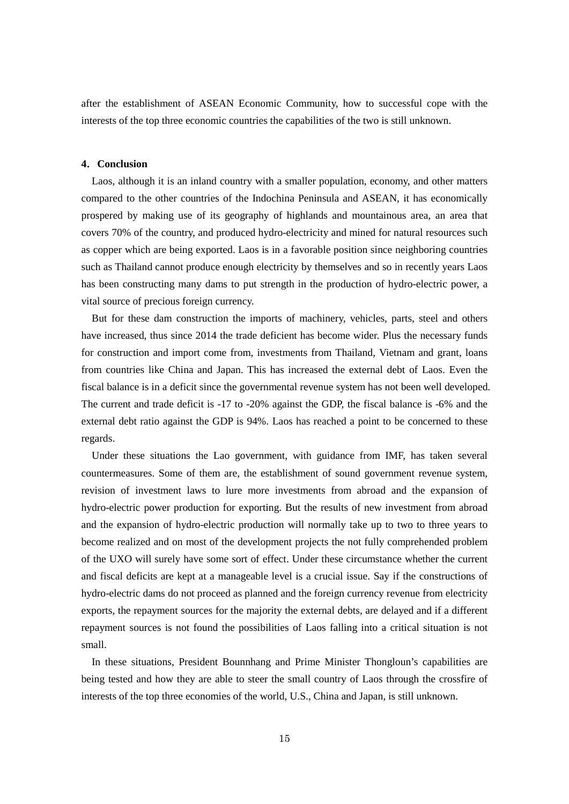after the establishment of ASEAN Economic Community, how to successful cope with the interests of the top three economic countries the capabilities of the two is still unknown.

## **4**.**Conclusion**

Laos, although it is an inland country with a smaller population, economy, and other matters compared to the other countries of the Indochina Peninsula and ASEAN, it has economically prospered by making use of its geography of highlands and mountainous area, an area that covers 70% of the country, and produced hydro-electricity and mined for natural resources such as copper which are being exported. Laos is in a favorable position since neighboring countries such as Thailand cannot produce enough electricity by themselves and so in recently years Laos has been constructing many dams to put strength in the production of hydro-electric power, a vital source of precious foreign currency.

But for these dam construction the imports of machinery, vehicles, parts, steel and others have increased, thus since 2014 the trade deficient has become wider. Plus the necessary funds for construction and import come from, investments from Thailand, Vietnam and grant, loans from countries like China and Japan. This has increased the external debt of Laos. Even the fiscal balance is in a deficit since the governmental revenue system has not been well developed. The current and trade deficit is -17 to -20% against the GDP, the fiscal balance is -6% and the external debt ratio against the GDP is 94%. Laos has reached a point to be concerned to these regards.

Under these situations the Lao government, with guidance from IMF, has taken several countermeasures. Some of them are, the establishment of sound government revenue system, revision of investment laws to lure more investments from abroad and the expansion of hydro-electric power production for exporting. But the results of new investment from abroad and the expansion of hydro-electric production will normally take up to two to three years to become realized and on most of the development projects the not fully comprehended problem of the UXO will surely have some sort of effect. Under these circumstance whether the current and fiscal deficits are kept at a manageable level is a crucial issue. Say if the constructions of hydro-electric dams do not proceed as planned and the foreign currency revenue from electricity exports, the repayment sources for the majority the external debts, are delayed and if a different repayment sources is not found the possibilities of Laos falling into a critical situation is not small.

In these situations, President Bounnhang and Prime Minister Thongloun's capabilities are being tested and how they are able to steer the small country of Laos through the crossfire of interests of the top three economies of the world, U.S., China and Japan, is still unknown.